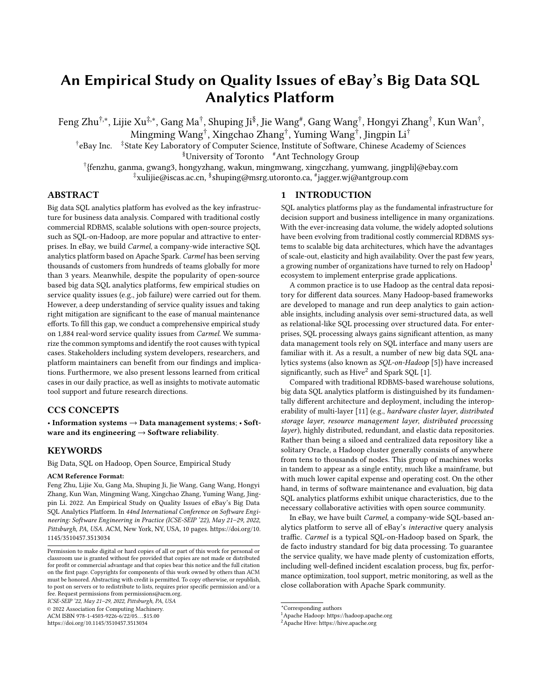# An Empirical Study on Quality Issues of eBay's Big Data SQL Analytics Platform

Feng Zhu†,\*, Lijie Xu‡,\*, Gang Ma†, Shuping Ji<sup>§</sup>, Jie Wang#, Gang Wang<sup>†</sup>, Hongyi Zhang†, Kun Wan†, Mingming Wang† , Xingchao Zhang† , Yuming Wang† , Jingpin Li†

† eBay Inc. ‡State Key Laboratory of Computer Science, Institute of Software, Chinese Academy of Sciences §University of Toronto #Ant Technology Group

† {fenzhu, ganma, gwang3, hongyzhang, wakun, mingmwang, xingczhang, yumwang, jingpli}@ebay.com ‡xulijie@iscas.ac.cn, § shuping@msrg.utoronto.ca, # jagger.wj@antgroup.com

# ABSTRACT

Big data SQL analytics platform has evolved as the key infrastructure for business data analysis. Compared with traditional costly commercial RDBMS, scalable solutions with open-source projects, such as SQL-on-Hadoop, are more popular and attractive to enterprises. In eBay, we build Carmel, a company-wide interactive SQL analytics platform based on Apache Spark. Carmel has been serving thousands of customers from hundreds of teams globally for more than 3 years. Meanwhile, despite the popularity of open-source based big data SQL analytics platforms, few empirical studies on service quality issues (e.g., job failure) were carried out for them. However, a deep understanding of service quality issues and taking right mitigation are significant to the ease of manual maintenance efforts. To fill this gap, we conduct a comprehensive empirical study on 1,884 real-word service quality issues from Carmel. We summarize the common symptoms and identify the root causes with typical cases. Stakeholders including system developers, researchers, and platform maintainers can benefit from our findings and implications. Furthermore, we also present lessons learned from critical cases in our daily practice, as well as insights to motivate automatic tool support and future research directions.

## CCS CONCEPTS

• Information systems → Data management systems; • Software and its engineering  $\rightarrow$  Software reliability.

## **KEYWORDS**

Big Data, SQL on Hadoop, Open Source, Empirical Study

#### ACM Reference Format:

Feng Zhu, Lijie Xu, Gang Ma, Shuping Ji, Jie Wang, Gang Wang, Hongyi Zhang, Kun Wan, Mingming Wang, Xingchao Zhang, Yuming Wang, Jingpin Li. 2022. An Empirical Study on Quality Issues of eBay's Big Data SQL Analytics Platform. In 44nd International Conference on Software Engineering: Software Engineering in Practice (ICSE-SEIP '22), May 21–29, 2022, Pittsburgh, PA, USA. ACM, New York, NY, USA, [10](#page-9-0) pages. [https://doi.org/10.](https://doi.org/10.1145/3510457.3513034) [1145/3510457.3513034](https://doi.org/10.1145/3510457.3513034)

ICSE-SEIP '22, May 21–29, 2022, Pittsburgh, PA, USA

© 2022 Association for Computing Machinery.

ACM ISBN 978-1-4503-9226-6/22/05. . . \$15.00

<https://doi.org/10.1145/3510457.3513034>

# 1 INTRODUCTION

[S](#page-0-0)QL analytics platforms play as the fundamental infrastructure for decision support and business intelligence in many organizations. With the ever-increasing data volume, the widely adopted solutions have been evolving from traditional costly commercial RDBMS systems to scalable big data architectures, which have the advantages of scale-out, elasticity and high availability. Over the past few years, a growing number of organizations have turned to rely on Hadoop<sup>[1](#page-0-1)</sup> ecosystem to implement enterprise grade applications.

A common practice is to use Hadoop as the central data repository for different data sources. Many Hadoop-based frameworks are developed to manage and run deep analytics to gain actionable insights, including analysis over semi-structured data, as well as relational-like SQL processing over structured data. For enterprises, SQL processing always gains significant attention, as many data management tools rely on SQL interface and many users are familiar with it. As a result, a number of new big data SQL analytics systems (also known as SQL-on-Hadoop [\[5\]](#page-9-1)) have increased significantly, such as  $Hive<sup>2</sup>$  $Hive<sup>2</sup>$  $Hive<sup>2</sup>$  and Spark SQL [\[1\]](#page-9-2).

Compared with traditional RDBMS-based warehouse solutions, big data SQL analytics platform is distinguished by its fundamentally different architecture and deployment, including the interoperability of multi-layer [\[11\]](#page-9-3) (e.g., hardware cluster layer, distributed storage layer, resource management layer, distributed processing layer), highly distributed, redundant, and elastic data repositories. Rather than being a siloed and centralized data repository like a solitary Oracle, a Hadoop cluster generally consists of anywhere from tens to thousands of nodes. This group of machines works in tandem to appear as a single entity, much like a mainframe, but with much lower capital expense and operating cost. On the other hand, in terms of software maintenance and evaluation, big data SQL analytics platforms exhibit unique characteristics, due to the necessary collaborative activities with open source community.

In eBay, we have built Carmel, a company-wide SQL-based analytics platform to serve all of eBay's interactive query analysis traffic. Carmel is a typical SQL-on-Hadoop based on Spark, the de facto industry standard for big data processing. To guarantee the service quality, we have made plenty of customization efforts, including well-defined incident escalation process, bug fix, performance optimization, tool support, metric monitoring, as well as the close collaboration with Apache Spark community.

Permission to make digital or hard copies of all or part of this work for personal or classroom use is granted without fee provided that copies are not made or distributed for profit or commercial advantage and that copies bear this notice and the full citation on the first page. Copyrights for components of this work owned by others than ACM must be honored. Abstracting with credit is permitted. To copy otherwise, or republish, to post on servers or to redistribute to lists, requires prior specific permission and/or a fee. Request permissions from permissions@acm.org.

<span id="page-0-0"></span><sup>\*</sup>Corresponding authors

<span id="page-0-1"></span><sup>1</sup>Apache Hadoop: https://hadoop.apache.org

<span id="page-0-2"></span><sup>2</sup>Apache Hive: https://hive.apache.org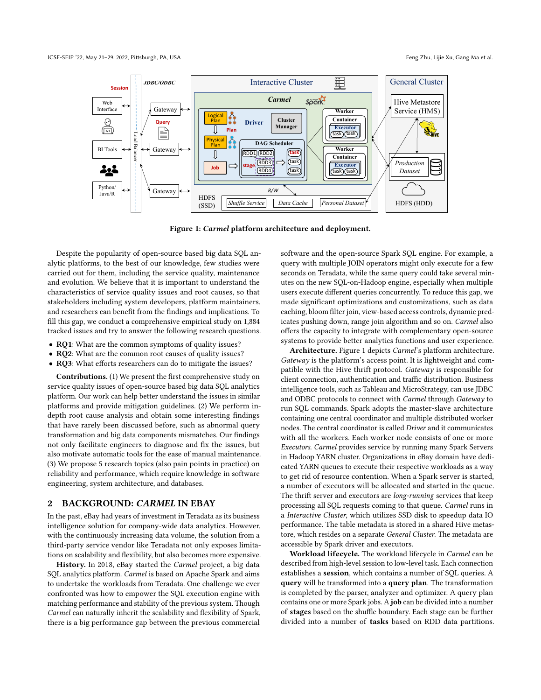<span id="page-1-0"></span>

Figure 1: Carmel platform architecture and deployment.

Despite the popularity of open-source based big data SQL analytic platforms, to the best of our knowledge, few studies were carried out for them, including the service quality, maintenance and evolution. We believe that it is important to understand the characteristics of service quality issues and root causes, so that stakeholders including system developers, platform maintainers, and researchers can benefit from the findings and implications. To fill this gap, we conduct a comprehensive empirical study on 1,884 tracked issues and try to answer the following research questions.

- RQ1: What are the common symptoms of quality issues?
- RQ2: What are the common root causes of quality issues?
- RQ3: What efforts researchers can do to mitigate the issues?

Contributions. (1) We present the first comprehensive study on service quality issues of open-source based big data SQL analytics platform. Our work can help better understand the issues in similar platforms and provide mitigation guidelines. (2) We perform indepth root cause analysis and obtain some interesting findings that have rarely been discussed before, such as abnormal query transformation and big data components mismatches. Our findings not only facilitate engineers to diagnose and fix the issues, but also motivate automatic tools for the ease of manual maintenance. (3) We propose 5 research topics (also pain points in practice) on reliability and performance, which require knowledge in software engineering, system architecture, and databases.

## 2 BACKGROUND: CARMEL IN EBAY

In the past, eBay had years of investment in Teradata as its business intelligence solution for company-wide data analytics. However, with the continuously increasing data volume, the solution from a third-party service vendor like Teradata not only exposes limitations on scalability and flexibility, but also becomes more expensive.

History. In 2018, eBay started the Carmel project, a big data SQL analytics platform. Carmel is based on Apache Spark and aims to undertake the workloads from Teradata. One challenge we ever confronted was how to empower the SQL execution engine with matching performance and stability of the previous system. Though Carmel can naturally inherit the scalability and flexibility of Spark, there is a big performance gap between the previous commercial software and the open-source Spark SQL engine. For example, a query with multiple JOIN operators might only execute for a few seconds on Teradata, while the same query could take several minutes on the new SQL-on-Hadoop engine, especially when multiple users execute different queries concurrently. To reduce this gap, we made significant optimizations and customizations, such as data caching, bloom filter join, view-based access controls, dynamic predicates pushing down, range join algorithm and so on. Carmel also offers the capacity to integrate with complementary open-source systems to provide better analytics functions and user experience.

Architecture. Figure [1](#page-1-0) depicts Carmel's platform architecture. Gateway is the platform's access point. It is lightweight and compatible with the Hive thrift protocol. Gateway is responsible for client connection, authentication and traffic distribution. Business intelligence tools, such as Tableau and MicroStrategy, can use JDBC and ODBC protocols to connect with Carmel through Gateway to run SQL commands. Spark adopts the master-slave architecture containing one central coordinator and multiple distributed worker nodes. The central coordinator is called Driver and it communicates with all the workers. Each worker node consists of one or more Executors. Carmel provides service by running many Spark Servers in Hadoop YARN cluster. Organizations in eBay domain have dedicated YARN queues to execute their respective workloads as a way to get rid of resource contention. When a Spark server is started, a number of executors will be allocated and started in the queue. The thrift server and executors are long-running services that keep processing all SQL requests coming to that queue. Carmel runs in a Interactive Cluster, which utilizes SSD disk to speedup data IO performance. The table metadata is stored in a shared Hive metastore, which resides on a separate General Cluster. The metadata are accessible by Spark driver and executors.

Workload lifecycle. The workload lifecycle in Carmel can be described from high-level session to low-level task. Each connection establishes a session, which contains a number of SQL queries. A query will be transformed into a query plan. The transformation is completed by the parser, analyzer and optimizer. A query plan contains one or more Spark jobs. A job can be divided into a number of stages based on the shuffle boundary. Each stage can be further divided into a number of tasks based on RDD data partitions.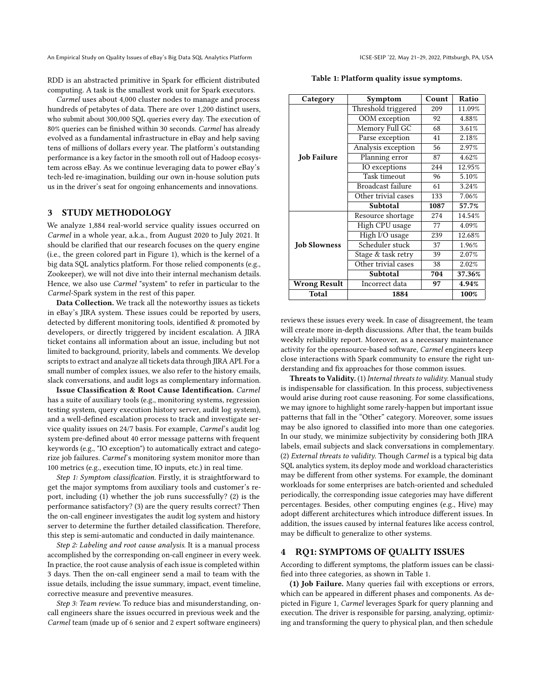An Empirical Study on Quality Issues of eBay's Big Data SQL Analytics Platform **ICSE-SEIP '22, May 21-29, 2022, Pittsburgh**, PA, USA

RDD is an abstracted primitive in Spark for efficient distributed computing. A task is the smallest work unit for Spark executors.

Carmel uses about 4,000 cluster nodes to manage and process hundreds of petabytes of data. There are over 1,200 distinct users, who submit about 300,000 SQL queries every day. The execution of 80% queries can be finished within 30 seconds. Carmel has already evolved as a fundamental infrastructure in eBay and help saving tens of millions of dollars every year. The platform's outstanding performance is a key factor in the smooth roll out of Hadoop ecosystem across eBay. As we continue leveraging data to power eBay's tech-led re-imagination, building our own in-house solution puts us in the driver's seat for ongoing enhancements and innovations.

# 3 STUDY METHODOLOGY

We analyze 1,884 real-world service quality issues occurred on Carmel in a whole year, a.k.a., from August 2020 to July 2021. It should be clarified that our research focuses on the query engine (i.e., the green colored part in Figure [1\)](#page-1-0), which is the kernel of a big data SQL analytics platform. For those relied components (e.g., Zookeeper), we will not dive into their internal mechanism details. Hence, we also use Carmel "system" to refer in particular to the Carmel-Spark system in the rest of this paper.

Data Collection. We track all the noteworthy issues as tickets in eBay's JIRA system. These issues could be reported by users, detected by different monitoring tools, identified & promoted by developers, or directly triggered by incident escalation. A JIRA ticket contains all information about an issue, including but not limited to background, priority, labels and comments. We develop scripts to extract and analyze all tickets data through JIRA API. For a small number of complex issues, we also refer to the history emails, slack conversations, and audit logs as complementary information.

Issue Classification & Root Cause Identification. Carmel has a suite of auxiliary tools (e.g., monitoring systems, regression testing system, query execution history server, audit log system), and a well-defined escalation process to track and investigate service quality issues on 24/7 basis. For example, Carmel's audit log system pre-defined about 40 error message patterns with frequent keywords (e.g., "IO exception") to automatically extract and categorize job failures. Carmel's monitoring system monitor more than 100 metrics (e.g., execution time, IO inputs, etc.) in real time.

Step 1: Symptom classification. Firstly, it is straightforward to get the major symptoms from auxiliary tools and customer's report, including (1) whether the job runs successfully? (2) is the performance satisfactory? (3) are the query results correct? Then the on-call engineer investigates the audit log system and history server to determine the further detailed classification. Therefore, this step is semi-automatic and conducted in daily maintenance.

Step 2: Labeling and root cause analysis. It is a manual process accomplished by the corresponding on-call engineer in every week. In practice, the root cause analysis of each issue is completed within 3 days. Then the on-call engineer send a mail to team with the issue details, including the issue summary, impact, event timeline, corrective measure and preventive measures.

Step 3: Team review. To reduce bias and misunderstanding, oncall engineers share the issues occurred in previous week and the Carmel team (made up of 6 senior and 2 expert software engineers)

Table 1: Platform quality issue symptoms.

<span id="page-2-0"></span>

| Category            | Symptom                  | Count | Ratio  |
|---------------------|--------------------------|-------|--------|
|                     | Threshold triggered      | 209   | 11.09% |
|                     | OOM exception            | 92    | 4.88%  |
|                     | Memory Full GC           | 68    | 3.61%  |
|                     | Parse exception<br>41    |       | 2.18%  |
|                     | Analysis exception<br>56 |       | 2.97%  |
| <b>Job Failure</b>  | Planning error           | 87    | 4.62%  |
|                     | IO exceptions            | 244   | 12.95% |
|                     | Task timeout             | 96    | 5.10%  |
|                     | Broadcast failure        | 61    | 3.24%  |
|                     | Other trivial cases      | 133   | 7.06%  |
|                     | Subtotal                 | 1087  | 57.7%  |
|                     | Resource shortage        | 274   | 14.54% |
|                     | High CPU usage           | 77    | 4.09%  |
|                     | High I/O usage           | 239   | 12.68% |
| <b>Job Slowness</b> | Scheduler stuck          | 37    | 1.96%  |
|                     | Stage & task retry       | 39    | 2.07%  |
|                     | Other trivial cases      | 38    | 2.02%  |
|                     | Subtotal                 | 704   | 37.36% |
| <b>Wrong Result</b> | Incorrect data           | 97    | 4.94%  |
| Total               | 1884                     | 100%  |        |

reviews these issues every week. In case of disagreement, the team will create more in-depth discussions. After that, the team builds weekly reliability report. Moreover, as a necessary maintenance activity for the opensource-based software, Carmel engineers keep close interactions with Spark community to ensure the right understanding and fix approaches for those common issues.

Threats to Validity. (1) Internal threats to validity. Manual study is indispensable for classification. In this process, subjectiveness would arise during root cause reasoning. For some classifications, we may ignore to highlight some rarely-happen but important issue patterns that fall in the "Other" category. Moreover, some issues may be also ignored to classified into more than one categories. In our study, we minimize subjectivity by considering both JIRA labels, email subjects and slack conversations in complementary. (2) External threats to validity. Though Carmel is a typical big data SQL analytics system, its deploy mode and workload characteristics may be different from other systems. For example, the dominant workloads for some enterprises are batch-oriented and scheduled periodically, the corresponding issue categories may have different percentages. Besides, other computing engines (e.g., Hive) may adopt different architectures which introduce different issues. In addition, the issues caused by internal features like access control, may be difficult to generalize to other systems.

# 4 RQ1: SYMPTOMS OF QUALITY ISSUES

According to different symptoms, the platform issues can be classified into three categories, as shown in Table [1.](#page-2-0)

(1) Job Failure. Many queries fail with exceptions or errors, which can be appeared in different phases and components. As depicted in Figure [1,](#page-1-0) Carmel leverages Spark for query planning and execution. The driver is responsible for parsing, analyzing, optimizing and transforming the query to physical plan, and then schedule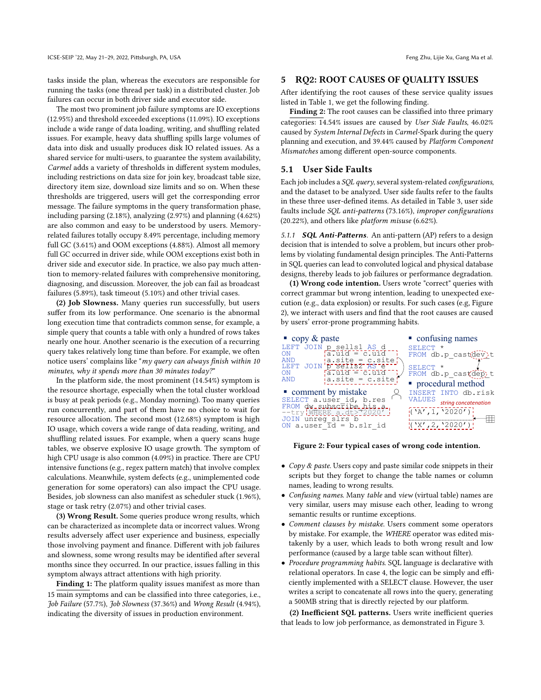tasks inside the plan, whereas the executors are responsible for running the tasks (one thread per task) in a distributed cluster. Job failures can occur in both driver side and executor side.

The most two prominent job failure symptoms are IO exceptions (12.95%) and threshold exceeded exceptions (11.09%). IO exceptions include a wide range of data loading, writing, and shuffling related issues. For example, heavy data shuffling spills large volumes of data into disk and usually produces disk IO related issues. As a shared service for multi-users, to guarantee the system availability, Carmel adds a variety of thresholds in different system modules, including restrictions on data size for join key, broadcast table size, directory item size, download size limits and so on. When these thresholds are triggered, users will get the corresponding error message. The failure symptoms in the query transformation phase, including parsing (2.18%), analyzing (2.97%) and planning (4.62%) are also common and easy to be understood by users. Memoryrelated failures totally occupy 8.49% percentage, including memory full GC (3.61%) and OOM exceptions (4.88%). Almost all memory full GC occurred in driver side, while OOM exceptions exist both in driver side and executor side. In practice, we also pay much attention to memory-related failures with comprehensive monitoring, diagnosing, and discussion. Moreover, the job can fail as broadcast failures (5.89%), task timeout (5.10%) and other trivial cases.

(2) Job Slowness. Many queries run successfully, but users suffer from its low performance. One scenario is the abnormal long execution time that contradicts common sense, for example, a simple query that counts a table with only a hundred of rows takes nearly one hour. Another scenario is the execution of a recurring query takes relatively long time than before. For example, we often notice users' complains like "my query can always finish within 10 minutes, why it spends more than 30 minutes today?"

In the platform side, the most prominent (14.54%) symptom is the resource shortage, especially when the total cluster workload is busy at peak periods (e.g., Monday morning). Too many queries run concurrently, and part of them have no choice to wait for resource allocation. The second most (12.68%) symptom is high IO usage, which covers a wide range of data reading, writing, and shuffling related issues. For example, when a query scans huge tables, we observe explosive IO usage growth. The symptom of high CPU usage is also common (4.09%) in practice. There are CPU intensive functions (e.g., regex pattern match) that involve complex calculations. Meanwhile, system defects (e.g., unimplemented code generation for some operators) can also impact the CPU usage. Besides, job slowness can also manifest as scheduler stuck (1.96%), stage or task retry (2.07%) and other trivial cases.

(3) Wrong Result. Some queries produce wrong results, which can be characterized as incomplete data or incorrect values. Wrong results adversely affect user experience and business, especially those involving payment and finance. Different with job failures and slowness, some wrong results may be identified after several months since they occurred. In our practice, issues falling in this symptom always attract attentions with high priority.

Finding 1: The platform quality issues manifest as more than 15 main symptoms and can be classified into three categories, i.e., Job Failure (57.7%), Job Slowness (37.36%) and Wrong Result (4.94%), indicating the diversity of issues in production environment.

#### 5 RQ2: ROOT CAUSES OF QUALITY ISSUES

After identifying the root causes of these service quality issues listed in Table [1,](#page-2-0) we get the following finding.

Finding 2: The root causes can be classified into three primary categories: 14.54% issues are caused by User Side Faults, 46.02% caused by System Internal Defects in Carmel-Spark during the query planning and execution, and 39.44% caused by Platform Component Mismatches among different open-source components.

#### 5.1 User Side Faults

Each job includes a SQL query, several system-related configurations, and the dataset to be analyzed. User side faults refer to the faults in these three user-defined items. As detailed in Table [3,](#page-4-0) user side faults include SQL anti-patterns (73.16%), improper configurations (20.22%), and others like platform misuse (6.62%).

5.1.1 **SQL Anti-Patterns**. An anti-pattern (AP) refers to a design decision that is intended to solve a problem, but incurs other problems by violating fundamental design principles. The Anti-Patterns in SQL queries can lead to convoluted logical and physical database designs, thereby leads to job failures or performance degradation.

(1) Wrong code intention. Users wrote "correct" queries with correct grammar but wrong intention, leading to unexpected execution (e.g., data explosion) or results. For such cases (e.g, Figure [2\)](#page-3-0), we interact with users and find that the root causes are caused by users' error-prone programming habits.

<span id="page-3-0"></span>

| copy $\&$ paste                                                                                                        | confusing names                                                            |
|------------------------------------------------------------------------------------------------------------------------|----------------------------------------------------------------------------|
| LEFT JOIN p sells1 AS d<br>$\overline{a}$ , $\overline{a}$ and $\overline{a}$<br>ON<br>$a.size = c.size$<br><b>AND</b> | <b>SELECT</b><br>FROM db.p castdev)t                                       |
| JOIN 'p sells2 AS e<br>LEFT<br>atula = cluid<br>ON<br>ia.site = c.site<br>AND                                          | SELECT *<br>FROM db.p castdep) t                                           |
|                                                                                                                        | • procedural method                                                        |
| comment by mistake<br>SELECT a.user id, b.res<br>FROM dw_subscribe_his_a_<br>--try WHERE a.dt>72020'                   | INSERT INTO db.risk<br>VALUES<br>string concatenation<br>( 'A', 1, '2020') |
| JOIN unreg slrs b<br>ON a.user $\overline{Id}$ = b.slr id                                                              | ( 'X', 2, '2020')                                                          |

#### Figure 2: Four typical cases of wrong code intention.

- Copy & paste. Users copy and paste similar code snippets in their scripts but they forget to change the table names or column names, leading to wrong results.
- Confusing names. Many table and view (virtual table) names are very similar, users may misuse each other, leading to wrong semantic results or runtime exceptions.
- Comment clauses by mistake. Users comment some operators by mistake. For example, the WHERE operator was edited mistakenly by a user, which leads to both wrong result and low performance (caused by a large table scan without filter).
- Procedure programming habits. SQL language is declarative with relational operators. In case 4, the logic can be simply and efficiently implemented with a SELECT clause. However, the user writes a script to concatenate all rows into the query, generating a 500MB string that is directly rejected by our platform.

(2) Inefficient SQL patterns. Users write inefficient queries that leads to low job performance, as demonstrated in Figure [3.](#page-4-1)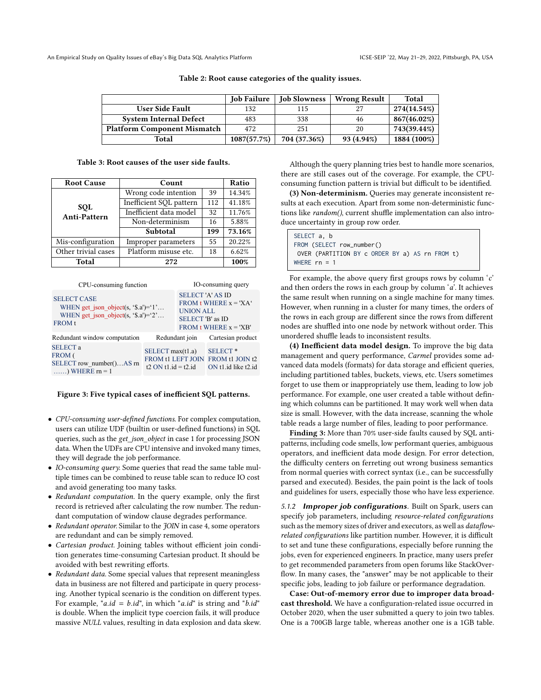|                                    | <b>Job Failure</b> | <b>Job Slowness</b> | <b>Wrong Result</b> | Total       |
|------------------------------------|--------------------|---------------------|---------------------|-------------|
| <b>User Side Fault</b>             | 132                | 115                 |                     | 274(14.54%) |
| <b>System Internal Defect</b>      | 483                | 338                 | 46                  | 867(46.02%) |
| <b>Platform Component Mismatch</b> | 472                | 251                 | 20                  | 743(39.44%) |
| Total                              | 1087(57.7%)        | 704 (37.36%)        | 93 (4.94%)          | 1884 (100%) |

Table 2: Root cause categories of the quality issues.

Table 3: Root causes of the user side faults.

<span id="page-4-0"></span>

| <b>Root Cause</b>          | Count                          | Ratio |        |
|----------------------------|--------------------------------|-------|--------|
| <b>SOL</b><br>Anti-Pattern | Wrong code intention           | 39    | 14.34% |
|                            | Inefficient SQL pattern<br>112 |       | 41.18% |
|                            | Inefficient data model<br>32   |       | 11.76% |
|                            | Non-determinism<br>16          |       | 5.88%  |
|                            | Subtotal                       | 199   | 73.16% |
| Mis-configuration          | Improper parameters            | 55    | 20.22% |
| Other trivial cases        | Platform misuse etc.           | 18    | 6.62%  |
| <b>Total</b>               | 272                            |       | 100%   |

<span id="page-4-1"></span>

| CPU-consuming function                                                                                          |                                                                           | IO-consuming query                                                                                                    |                                                               |
|-----------------------------------------------------------------------------------------------------------------|---------------------------------------------------------------------------|-----------------------------------------------------------------------------------------------------------------------|---------------------------------------------------------------|
| <b>SELECT CASE</b><br>WHEN get json object(s, $\$ .a')= $'1$ '<br>WHEN get_json_object(s, '\$.a')='2'<br>FROM t |                                                                           | <b>SELECT 'A' AS ID</b><br>FROM t WHERE $x = 'XA'$<br><b>UNION ALL</b><br>SELECT 'B' as ID<br>FROM t WHERE $x = 'XB'$ |                                                               |
| Redundant window computation                                                                                    |                                                                           | Redundant join                                                                                                        | Cartesian product                                             |
| <b>SELECT a</b><br>FROM (<br>SELECT row number()AS rn<br>) WHERE $rn = 1$                                       | SELECT max(t1.a)<br><b>FROM t1 LEFT JOIN</b><br>$t2$ ON $t1$ id = $t2$ id |                                                                                                                       | SELECT <sup>*</sup><br>FROM t1 JOIN t2<br>ON t1.id like t2.id |

#### Figure 3: Five typical cases of inefficient SQL patterns.

- CPU-consuming user-defined functions. For complex computation, users can utilize UDF (builtin or user-defined functions) in SQL queries, such as the get\_json\_object in case 1 for processing JSON data. When the UDFs are CPU intensive and invoked many times, they will degrade the job performance.
- IO-consuming query. Some queries that read the same table multiple times can be combined to reuse table scan to reduce IO cost and avoid generating too many tasks.
- Redundant computation. In the query example, only the first record is retrieved after calculating the row number. The redundant computation of window clause degrades performance.
- Redundant operator. Similar to the JOIN in case 4, some operators are redundant and can be simply removed.
- Cartesian product. Joining tables without efficient join condition generates time-consuming Cartesian product. It should be avoided with best rewriting efforts.
- Redundant data. Some special values that represent meaningless data in business are not filtered and participate in query processing. Another typical scenario is the condition on different types. For example, "a.id =  $b.id$ ", in which "a.id" is string and " $b.id$ " is double. When the implicit type coercion fails, it will produce massive NULL values, resulting in data explosion and data skew.

Although the query planning tries best to handle more scenarios, there are still cases out of the coverage. For example, the CPUconsuming function pattern is trivial but difficult to be identified.

(3) Non-determinism. Queries may generate inconsistent results at each execution. Apart from some non-deterministic functions like random(), current shuffle implementation can also introduce uncertainty in group row order.

| SELECT a, b                                    |  |
|------------------------------------------------|--|
| FROM (SELECT row_number()                      |  |
| OVER (PARTITION BY c ORDER BY a) AS rn FROM t) |  |
| WHERE $rn = 1$                                 |  |

For example, the above query first groups rows by column 'c' and then orders the rows in each group by column  $a$ . It achieves the same result when running on a single machine for many times. However, when running in a cluster for many times, the orders of the rows in each group are different since the rows from different nodes are shuffled into one node by network without order. This unordered shuffle leads to inconsistent results.

(4) Inefficient data model design. To improve the big data management and query performance, Carmel provides some advanced data models (formats) for data storage and efficient queries, including partitioned tables, buckets, views, etc. Users sometimes forget to use them or inappropriately use them, leading to low job performance. For example, one user created a table without defining which columns can be partitioned. It may work well when data size is small. However, with the data increase, scanning the whole table reads a large number of files, leading to poor performance.

Finding 3: More than 70% user-side faults caused by SQL antipatterns, including code smells, low performant queries, ambiguous operators, and inefficient data mode design. For error detection, the difficulty centers on ferreting out wrong business semantics from normal queries with correct syntax (i.e., can be successfully parsed and executed). Besides, the pain point is the lack of tools and guidelines for users, especially those who have less experience.

5.1.2 Improper job configurations. Built on Spark, users can specify job parameters, including resource-related configurations such as the memory sizes of driver and executors, as well as dataflowrelated configurations like partition number. However, it is difficult to set and tune these configurations, especially before running the jobs, even for experienced engineers. In practice, many users prefer to get recommended parameters from open forums like StackOverflow. In many cases, the "answer" may be not applicable to their specific jobs, leading to job failure or performance degradation.

Case: Out-of-memory error due to improper data broadcast threshold. We have a configuration-related issue occurred in October 2020, when the user submitted a query to join two tables. One is a 700GB large table, whereas another one is a 1GB table.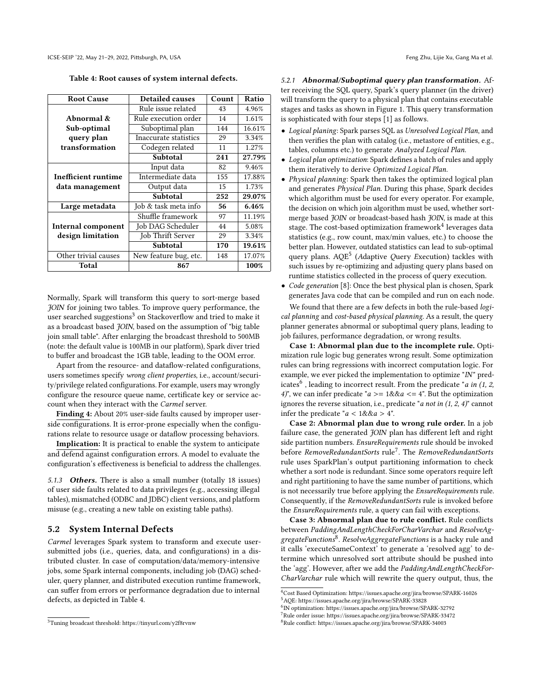<span id="page-5-1"></span>Table 4: Root causes of system internal defects.

| <b>Root Cause</b>         | <b>Detailed causes</b> | Count | Ratio  |
|---------------------------|------------------------|-------|--------|
|                           | Rule issue related     | 43    | 4.96%  |
| Abnormal &                | Rule execution order   | 14    | 1.61%  |
| Sub-optimal               | Suboptimal plan        | 144   | 16.61% |
| query plan                | Inaccurate statistics  | 29    | 3.34%  |
| transformation            | Codegen related        | 11    | 1.27%  |
|                           | Subtotal               | 241   | 27.79% |
|                           | Input data             | 82    | 9.46%  |
| Inefficient runtime       | Intermediate data      | 155   | 17.88% |
| data management           | Output data            | 15    | 1.73%  |
|                           | Subtotal               | 252   | 29.07% |
| Large metadata            | Job & task meta info   | 56    | 6.46%  |
|                           | Shuffle framework      | 97    | 11.19% |
| <b>Internal component</b> | Job DAG Scheduler      | 44    | 5.08%  |
| design limitation         | Job Thrift Server      | 29    | 3.34%  |
|                           | Subtotal               | 170   | 19.61% |
| Other trivial causes      | New feature bug, etc.  | 148   | 17.07% |
| <b>Total</b>              | 867                    |       | 100%   |

Normally, Spark will transform this query to sort-merge based JOIN for joining two tables. To improve query performance, the user searched suggestions<sup>[3](#page-5-0)</sup> on Stackoverflow and tried to make it as a broadcast based *JOIN*, based on the assumption of "big table join small table". After enlarging the broadcast threshold to 500MB (note: the default value is 100MB in our platform), Spark diver tried to buffer and broadcast the 1GB table, leading to the OOM error.

Apart from the resource- and dataflow-related configurations, users sometimes specify wrong client properties, i.e., account/security/privilege related configurations. For example, users may wrongly configure the resource queue name, certificate key or service account when they interact with the Carmel server.

Finding 4: About 20% user-side faults caused by improper userside configurations. It is error-prone especially when the configurations relate to resource usage or dataflow processing behaviors.

Implication: It is practical to enable the system to anticipate and defend against configuration errors. A model to evaluate the configuration's effectiveness is beneficial to address the challenges.

5.1.3 Others. There is also a small number (totally 18 issues) of user side faults related to data privileges (e.g., accessing illegal tables), mismatched (ODBC and JDBC) client versions, and platform misuse (e.g., creating a new table on existing table paths).

#### 5.2 System Internal Defects

Carmel leverages Spark system to transform and execute usersubmitted jobs (i.e., queries, data, and configurations) in a distributed cluster. In case of computation/data/memory-intensive jobs, some Spark internal components, including job (DAG) scheduler, query planner, and distributed execution runtime framework, can suffer from errors or performance degradation due to internal defects, as depicted in Table [4.](#page-5-1)

5.2.1 Abnormal/Suboptimal query plan transformation. After receiving the SQL query, Spark's query planner (in the driver) will transform the query to a physical plan that contains executable stages and tasks as shown in Figure [1.](#page-1-0) This query transformation is sophisticated with four steps [\[1\]](#page-9-2) as follows.

- Logical planing: Spark parses SQL as Unresolved Logical Plan, and then verifies the plan with catalog (i.e., metastore of entities, e.g., tables, columns etc.) to generate Analyzed Logical Plan.
- Logical plan optimization: Spark defines a batch of rules and apply them iteratively to derive Optimized Logical Plan.
- Physical planning: Spark then takes the optimized logical plan and generates Physical Plan. During this phase, Spark decides which algorithm must be used for every operator. For example, the decision on which join algorithm must be used, whether sortmerge based JOIN or broadcast-based hash JOIN, is made at this stage. The cost-based optimization framework $\rm ^4$  $\rm ^4$  leverages data statistics (e.g., row count, max/min values, etc.) to choose the better plan. However, outdated statistics can lead to sub-optimal query plans. AQE<sup>[5](#page-5-3)</sup> (Adaptive Query Execution) tackles with such issues by re-optimizing and adjusting query plans based on runtime statistics collected in the process of query execution.
- Code generation [\[8\]](#page-9-4): Once the best physical plan is chosen, Spark generates Java code that can be compiled and run on each node.

We found that there are a few defects in both the rule-based logical planning and cost-based physical planning. As a result, the query planner generates abnormal or suboptimal query plans, leading to job failures, performance degradation, or wrong results.

Case 1: Abnormal plan due to the incomplete rule. Optimization rule logic bug generates wrong result. Some optimization rules can bring regressions with incorrect computation logic. For example, we ever picked the implementation to optimize "IN" pred-icates<sup>[6](#page-5-4)</sup>, leading to incorrect result. From the predicate "*a in (1, 2,* 4)", we can infer predicate " $a \ge 1$ && $a \le 4$ ". But the optimization ignores the reverse situation, i.e., predicate "*a not in*  $(1, 2, 4)$ " cannot infer the predicate " $a < 1$ && $a > 4$ ".

Case 2: Abnormal plan due to wrong rule order. In a job failure case, the generated JOIN plan has different left and right side partition numbers. EnsureRequirements rule should be invoked before RemoveRedundantSorts rule<sup>[7](#page-5-5)</sup>. The RemoveRedundantSorts rule uses SparkPlan's output partitioning information to check whether a sort node is redundant. Since some operators require left and right partitioning to have the same number of partitions, which is not necessarily true before applying the EnsureRequirements rule. Consequently, if the RemoveRedundantSorts rule is invoked before the EnsureRequirements rule, a query can fail with exceptions.

Case 3: Abnormal plan due to rule conflict. Rule conflicts between PaddingAndLengthCheckForCharVarchar and ResolveAg-gregateFunctions<sup>[8](#page-5-6)</sup>. ResolveAggregateFunctions is a hacky rule and it calls 'executeSameContext' to generate a 'resolved agg' to determine which unresolved sort attribute should be pushed into the 'agg'. However, after we add the PaddingAndLengthCheckFor-CharVarchar rule which will rewrite the query output, thus, the

<span id="page-5-0"></span><sup>3</sup>Tuning broadcast threshold: https://tinyurl.com/y2f8rvnw

<span id="page-5-2"></span><sup>4</sup>Cost Based Optimization: https://issues.apache.org/jira/browse/SPARK-16026

<span id="page-5-3"></span><sup>5</sup>AQE: https://issues.apache.org/jira/browse/SPARK-33828

<span id="page-5-4"></span><sup>6</sup> IN optimization: https://issues.apache.org/jira/browse/SPARK-32792

<span id="page-5-5"></span><sup>7</sup>Rule order issue: https://issues.apache.org/jira/browse/SPARK-33472

<span id="page-5-6"></span><sup>8</sup>Rule conflict: https://issues.apache.org/jira/browse/SPARK-34003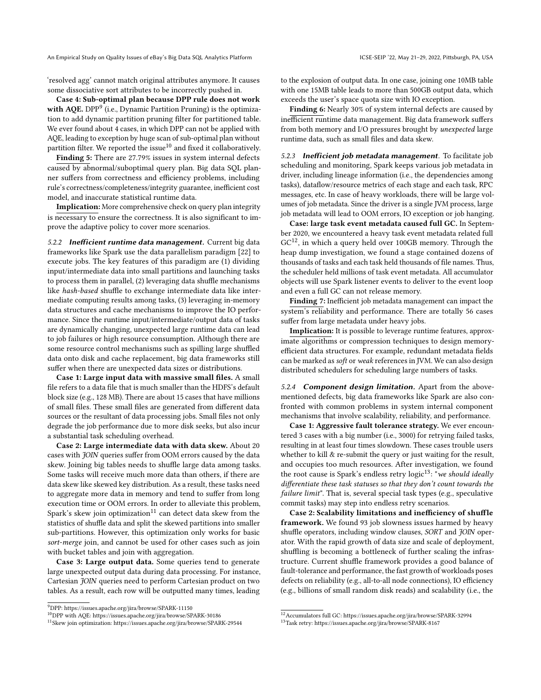An Empirical Study on Quality Issues of eBay's Big Data SQL Analytics Platform **ICSE-SEIP '22, May 21-29, 2022, Pittsburgh**, PA, USA

'resolved agg' cannot match original attributes anymore. It causes some dissociative sort attributes to be incorrectly pushed in.

Case 4: Sub-optimal plan because DPP rule does not work with AQE. DPP<sup>[9](#page-6-0)</sup> (i.e., Dynamic Partition Pruning) is the optimization to add dynamic partition pruning filter for partitioned table. We ever found about 4 cases, in which DPP can not be applied with AQE, leading to exception by huge scan of sub-optimal plan without partition filter. We reported the issue $10$  and fixed it collaboratively.

Finding 5: There are 27.79% issues in system internal defects caused by abnormal/suboptimal query plan. Big data SQL planner suffers from correctness and efficiency problems, including rule's correctness/completeness/integrity guarantee, inefficient cost model, and inaccurate statistical runtime data.

Implication: More comprehensive check on query plan integrity is necessary to ensure the correctness. It is also significant to improve the adaptive policy to cover more scenarios.

5.2.2 Inefficient runtime data management. Current big data frameworks like Spark use the data parallelism paradigm [\[22\]](#page-9-5) to execute jobs. The key features of this paradigm are (1) dividing input/intermediate data into small partitions and launching tasks to process them in parallel, (2) leveraging data shuffle mechanisms like hash-based shuffle to exchange intermediate data like intermediate computing results among tasks, (3) leveraging in-memory data structures and cache mechanisms to improve the IO performance. Since the runtime input/intermediate/output data of tasks are dynamically changing, unexpected large runtime data can lead to job failures or high resource consumption. Although there are some resource control mechanisms such as spilling large shuffled data onto disk and cache replacement, big data frameworks still suffer when there are unexpected data sizes or distributions.

Case 1: Large input data with massive small files. A small file refers to a data file that is much smaller than the HDFS's default block size (e.g., 128 MB). There are about 15 cases that have millions of small files. These small files are generated from different data sources or the resultant of data processing jobs. Small files not only degrade the job performance due to more disk seeks, but also incur a substantial task scheduling overhead.

Case 2: Large intermediate data with data skew. About 20 cases with JOIN queries suffer from OOM errors caused by the data skew. Joining big tables needs to shuffle large data among tasks. Some tasks will receive much more data than others, if there are data skew like skewed key distribution. As a result, these tasks need to aggregate more data in memory and tend to suffer from long execution time or OOM errors. In order to alleviate this problem, Spark's skew join optimization<sup>[11](#page-6-2)</sup> can detect data skew from the statistics of shuffle data and split the skewed partitions into smaller sub-partitions. However, this optimization only works for basic sort-merge join, and cannot be used for other cases such as join with bucket tables and join with aggregation.

Case 3: Large output data. Some queries tend to generate large unexpected output data during data processing. For instance, Cartesian JOIN queries need to perform Cartesian product on two tables. As a result, each row will be outputted many times, leading to the explosion of output data. In one case, joining one 10MB table with one 15MB table leads to more than 500GB output data, which exceeds the user's space quota size with IO exception.

Finding 6: Nearly 30% of system internal defects are caused by inefficient runtime data management. Big data framework suffers from both memory and I/O pressures brought by unexpected large runtime data, such as small files and data skew.

5.2.3 Inefficient job metadata management. To facilitate job scheduling and monitoring, Spark keeps various job metadata in driver, including lineage information (i.e., the dependencies among tasks), dataflow/resource metrics of each stage and each task, RPC messages, etc. In case of heavy workloads, there will be large volumes of job metadata. Since the driver is a single JVM process, large job metadata will lead to OOM errors, IO exception or job hanging.

Case: large task event metadata caused full GC. In September 2020, we encountered a heavy task event metadata related full  $GC<sup>12</sup>$  $GC<sup>12</sup>$  $GC<sup>12</sup>$ , in which a query held over 100GB memory. Through the heap dump investigation, we found a stage contained dozens of thousands of tasks and each task held thousands of file names. Thus, the scheduler held millions of task event metadata. All accumulator objects will use Spark listener events to deliver to the event loop and even a full GC can not release memory.

Finding 7: Inefficient job metadata management can impact the system's reliability and performance. There are totally 56 cases suffer from large metadata under heavy jobs.

Implication: It is possible to leverage runtime features, approximate algorithms or compression techniques to design memoryefficient data structures. For example, redundant metadata fields can be marked as soft or weak references in JVM. We can also design distributed schedulers for scheduling large numbers of tasks.

5.2.4 **Component design limitation.** Apart from the abovementioned defects, big data frameworks like Spark are also confronted with common problems in system internal component mechanisms that involve scalability, reliability, and performance.

Case 1: Aggressive fault tolerance strategy. We ever encountered 3 cases with a big number (i.e., 3000) for retrying failed tasks, resulting in at least four times slowdown. These cases trouble users whether to kill & re-submit the query or just waiting for the result, and occupies too much resources. After investigation, we found the root cause is Spark's endless retry  $logic^{13}$  $logic^{13}$  $logic^{13}$ : "we should ideally differentiate these task statuses so that they don't count towards the failure limit". That is, several special task types (e.g., speculative commit tasks) may step into endless retry scenarios.

Case 2: Scalability limitations and inefficiency of shuffle framework. We found 93 job slowness issues harmed by heavy shuffle operators, including window clauses, SORT and JOIN operator. With the rapid growth of data size and scale of deployment, shuffling is becoming a bottleneck of further scaling the infrastructure. Current shuffle framework provides a good balance of fault-tolerance and performance, the fast growth of workloads poses defects on reliability (e.g., all-to-all node connections), IO efficiency (e.g., billions of small random disk reads) and scalability (i.e., the

<span id="page-6-0"></span> $^9$  DPP: https://issues.apache.org/jira/browse/SPARK-11150  $\,$ 

<span id="page-6-1"></span><sup>10</sup>DPP with AQE: https://issues.apache.org/jira/browse/SPARK-30186

<span id="page-6-2"></span><sup>11</sup>Skew join optimization: https://issues.apache.org/jira/browse/SPARK-29544

<span id="page-6-3"></span> $^{12}$  Accumulators full GC: https://issues.apache.org/jira/browse/SPARK-32994

<span id="page-6-4"></span><sup>13</sup>Task retry: https://issues.apache.org/jira/browse/SPARK-8167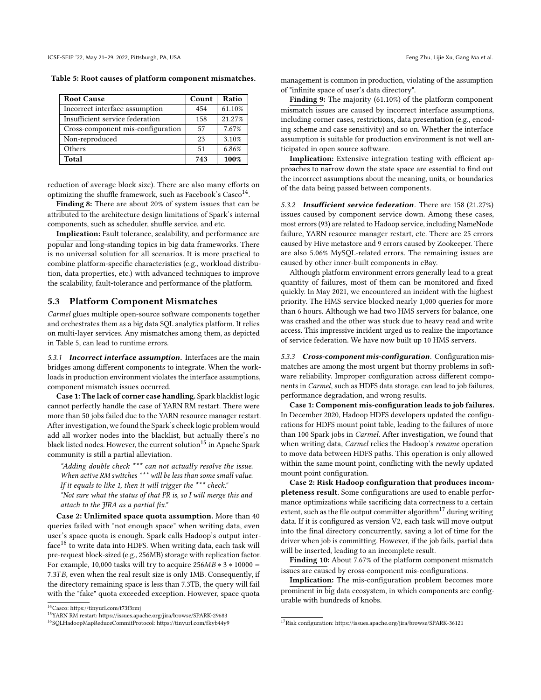<span id="page-7-1"></span>

| <b>Root Cause</b>                 | Count | Ratio  |
|-----------------------------------|-------|--------|
| Incorrect interface assumption    | 454   | 61.10% |
| Insufficient service federation   | 158   | 21.27% |
| Cross-component mis-configuration | 57    | 7.67%  |
| Non-reproduced                    | 23    | 3.10%  |
| Others                            | 51    | 6.86%  |
| Total                             | 743   | 100%   |

reduction of average block size). There are also many efforts on optimizing the shuffle framework, such as Facebook's  $\text{Case} \text{O}^{14}$  $\text{Case} \text{O}^{14}$  $\text{Case} \text{O}^{14}$ .

Finding 8: There are about 20% of system issues that can be attributed to the architecture design limitations of Spark's internal components, such as scheduler, shuffle service, and etc.

Implication: Fault tolerance, scalability, and performance are popular and long-standing topics in big data frameworks. There is no universal solution for all scenarios. It is more practical to combine platform-specific characteristics (e.g., workload distribution, data properties, etc.) with advanced techniques to improve the scalability, fault-tolerance and performance of the platform.

## 5.3 Platform Component Mismatches

Carmel glues multiple open-source software components together and orchestrates them as a big data SQL analytics platform. It relies on multi-layer services. Any mismatches among them, as depicted in Table [5,](#page-7-1) can lead to runtime errors.

5.3.1 Incorrect interface assumption. Interfaces are the main bridges among different components to integrate. When the workloads in production environment violates the interface assumptions, component mismatch issues occurred.

Case 1: The lack of corner case handling. Spark blacklist logic cannot perfectly handle the case of YARN RM restart. There were more than 50 jobs failed due to the YARN resource manager restart. After investigation, we found the Spark's check logic problem would add all worker nodes into the blacklist, but actually there's no black listed nodes. However, the current solution<sup>[15](#page-7-2)</sup> in Apache Spark community is still a partial alleviation.

"Adding double check \*\*\* can not actually resolve the issue. When active RM switches \*\*\* will be less than some small value.

If it equals to like 1, then it will trigger the \*\*\* check."

"Not sure what the status of that PR is, so I will merge this and attach to the JIRA as a partial fix."

Case 2: Unlimited space quota assumption. More than 40 queries failed with "not enough space" when writing data, even user's space quota is enough. Spark calls Hadoop's output inter- $\rm{face^{16}}$  $\rm{face^{16}}$  $\rm{face^{16}}$  to write data into HDFS. When writing data, each task will pre-request block-sized (e.g., 256MB) storage with replication factor. For example, 10,000 tasks will try to acquire  $256MB * 3 * 10000 =$ 7.3TB, even when the real result size is only 1MB. Consequently, if the directory remaining space is less than 7.3TB, the query will fail with the "fake" quota exceeded exception. However, space quota

management is common in production, violating of the assumption of "infinite space of user's data directory".

Finding 9: The majority (61.10%) of the platform component mismatch issues are caused by incorrect interface assumptions, including corner cases, restrictions, data presentation (e.g., encoding scheme and case sensitivity) and so on. Whether the interface assumption is suitable for production environment is not well anticipated in open source software.

Implication: Extensive integration testing with efficient approaches to narrow down the state space are essential to find out the incorrect assumptions about the meaning, units, or boundaries of the data being passed between components.

5.3.2 Insufficient service federation. There are 158 (21.27%) issues caused by component service down. Among these cases, most errors (93) are related to Hadoop service, including NameNode failure, YARN resource manager restart, etc. There are 25 errors caused by Hive metastore and 9 errors caused by Zookeeper. There are also 5.06% MySQL-related errors. The remaining issues are caused by other inner-built components in eBay.

Although platform environment errors generally lead to a great quantity of failures, most of them can be monitored and fixed quickly. In May 2021, we encountered an incident with the highest priority. The HMS service blocked nearly 1,000 queries for more than 6 hours. Although we had two HMS servers for balance, one was crashed and the other was stuck due to heavy read and write access. This impressive incident urged us to realize the importance of service federation. We have now built up 10 HMS servers.

5.3.3 Cross-component mis-configuration. Configuration mismatches are among the most urgent but thorny problems in software reliability. Improper configuration across different components in Carmel, such as HDFS data storage, can lead to job failures, performance degradation, and wrong results.

Case 1: Component mis-configuration leads to job failures. In December 2020, Hadoop HDFS developers updated the configurations for HDFS mount point table, leading to the failures of more than 100 Spark jobs in Carmel. After investigation, we found that when writing data, *Carmel* relies the Hadoop's rename operation to move data between HDFS paths. This operation is only allowed within the same mount point, conflicting with the newly updated mount point configuration.

Case 2: Risk Hadoop configuration that produces incompleteness result. Some configurations are used to enable performance optimizations while sacrificing data correctness to a certain extent, such as the file output committer algorithm<sup>[17](#page-7-4)</sup> during writing data. If it is configured as version V2, each task will move output into the final directory concurrently, saving a lot of time for the driver when job is committing. However, if the job fails, partial data will be inserted, leading to an incomplete result.

Finding 10: About 7.67% of the platform component mismatch issues are caused by cross-component mis-configurations.

Implication: The mis-configuration problem becomes more prominent in big data ecosystem, in which components are configurable with hundreds of knobs.

<span id="page-7-0"></span><sup>14</sup>Casco: https://tinyurl.com/t73f3rmj

<span id="page-7-2"></span><sup>15</sup>YARN RM restart: https://issues.apache.org/jira/browse/SPARK-29683

<span id="page-7-3"></span><sup>16</sup>SQLHadoopMapReduceCommitProtocol: https://tinyurl.com/fkyb44y9

<span id="page-7-4"></span><sup>17</sup>Risk configuration: https://issues.apache.org/jira/browse/SPARK-36121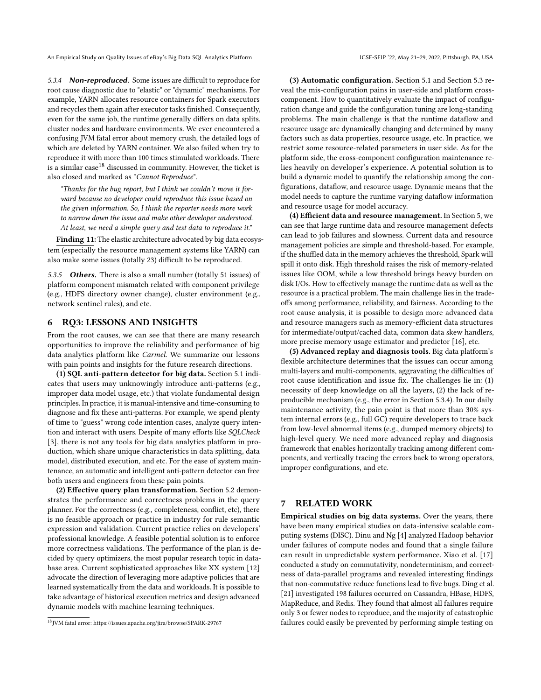5.3.4 **Non-reproduced**. Some issues are difficult to reproduce for root cause diagnostic due to "elastic" or "dynamic" mechanisms. For example, YARN allocates resource containers for Spark executors and recycles them again after executor tasks finished. Consequently, even for the same job, the runtime generally differs on data splits, cluster nodes and hardware environments. We ever encountered a confusing JVM fatal error about memory crush, the detailed logs of which are deleted by YARN container. We also failed when try to reproduce it with more than 100 times stimulated workloads. There is a similar case<sup>[18](#page-8-0)</sup> discussed in community. However, the ticket is also closed and marked as "Cannot Reproduce".

"Thanks for the bug report, but I think we couldn't move it forward because no developer could reproduce this issue based on the given information. So, I think the reporter needs more work to narrow down the issue and make other developer understood. At least, we need a simple query and test data to reproduce it."

Finding 11: The elastic architecture advocated by big data ecosystem (especially the resource management systems like YARN) can also make some issues (totally 23) difficult to be reproduced.

5.3.5 Others. There is also a small number (totally 51 issues) of platform component mismatch related with component privilege (e.g., HDFS directory owner change), cluster environment (e.g., network sentinel rules), and etc.

## 6 RQ3: LESSONS AND INSIGHTS

From the root causes, we can see that there are many research opportunities to improve the reliability and performance of big data analytics platform like Carmel. We summarize our lessons with pain points and insights for the future research directions.

(1) SQL anti-pattern detector for big data. Section 5.1 indicates that users may unknowingly introduce anti-patterns (e.g., improper data model usage, etc.) that violate fundamental design principles. In practice, it is manual-intensive and time-consuming to diagnose and fix these anti-patterns. For example, we spend plenty of time to "guess" wrong code intention cases, analyze query intention and interact with users. Despite of many efforts like SQLCheck [\[3\]](#page-9-6), there is not any tools for big data analytics platform in production, which share unique characteristics in data splitting, data model, distributed execution, and etc. For the ease of system maintenance, an automatic and intelligent anti-pattern detector can free both users and engineers from these pain points.

(2) Effective query plan transformation. Section 5.2 demonstrates the performance and correctness problems in the query planner. For the correctness (e.g., completeness, conflict, etc), there is no feasible approach or practice in industry for rule semantic expression and validation. Current practice relies on developers' professional knowledge. A feasible potential solution is to enforce more correctness validations. The performance of the plan is decided by query optimizers, the most popular research topic in database area. Current sophisticated approaches like XX system [\[12\]](#page-9-7) advocate the direction of leveraging more adaptive policies that are learned systematically from the data and workloads. It is possible to take advantage of historical execution metrics and design advanced dynamic models with machine learning techniques.

(3) Automatic configuration. Section 5.1 and Section 5.3 reveal the mis-configuration pains in user-side and platform crosscomponent. How to quantitatively evaluate the impact of configuration change and guide the configuration tuning are long-standing problems. The main challenge is that the runtime dataflow and resource usage are dynamically changing and determined by many factors such as data properties, resource usage, etc. In practice, we restrict some resource-related parameters in user side. As for the platform side, the cross-component configuration maintenance relies heavily on developer's experience. A potential solution is to build a dynamic model to quantify the relationship among the configurations, dataflow, and resource usage. Dynamic means that the model needs to capture the runtime varying dataflow information and resource usage for model accuracy.

(4) Efficient data and resource management. In Section 5, we can see that large runtime data and resource management defects can lead to job failures and slowness. Current data and resource management policies are simple and threshold-based. For example, if the shuffled data in the memory achieves the threshold, Spark will spill it onto disk. High threshold raises the risk of memory-related issues like OOM, while a low threshold brings heavy burden on disk I/Os. How to effectively manage the runtime data as well as the resource is a practical problem. The main challenge lies in the tradeoffs among performance, reliability, and fairness. According to the root cause analysis, it is possible to design more advanced data and resource managers such as memory-efficient data structures for intermediate/output/cached data, common data skew handlers, more precise memory usage estimator and predictor [\[16\]](#page-9-8), etc.

(5) Advanced replay and diagnosis tools. Big data platform's flexible architecture determines that the issues can occur among multi-layers and multi-components, aggravating the difficulties of root cause identification and issue fix. The challenges lie in: (1) necessity of deep knowledge on all the layers, (2) the lack of reproducible mechanism (e.g., the error in Section 5.3.4). In our daily maintenance activity, the pain point is that more than 30% system internal errors (e.g., full GC) require developers to trace back from low-level abnormal items (e.g., dumped memory objects) to high-level query. We need more advanced replay and diagnosis framework that enables horizontally tracking among different components, and vertically tracing the errors back to wrong operators, improper configurations, and etc.

## 7 RELATED WORK

Empirical studies on big data systems. Over the years, there have been many empirical studies on data-intensive scalable computing systems (DISC). Dinu and Ng [\[4\]](#page-9-9) analyzed Hadoop behavior under failures of compute nodes and found that a single failure can result in unpredictable system performance. Xiao et al. [\[17\]](#page-9-10) conducted a study on commutativity, nondeterminism, and correctness of data-parallel programs and revealed interesting findings that non-commutative reduce functions lead to five bugs. Ding et al. [\[21\]](#page-9-11) investigated 198 failures occurred on Cassandra, HBase, HDFS, MapReduce, and Redis. They found that almost all failures require only 3 or fewer nodes to reproduce, and the majority of catastrophic failures could easily be prevented by performing simple testing on

<span id="page-8-0"></span><sup>18</sup>JVM fatal error: https://issues.apache.org/jira/browse/SPARK-29767